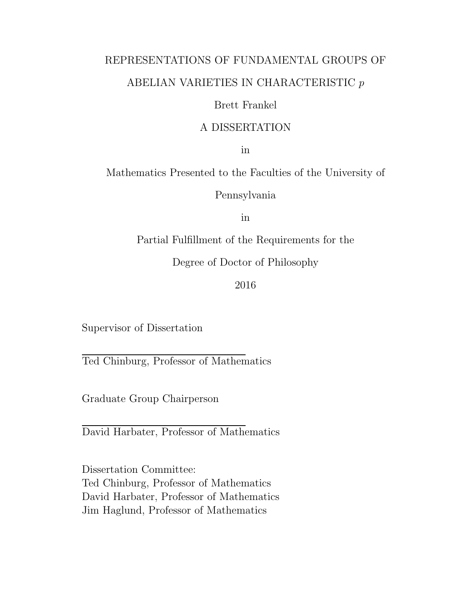### REPRESENTATIONS OF FUNDAMENTAL GROUPS OF ABELIAN VARIETIES IN CHARACTERISTIC  $\boldsymbol{p}$

#### Brett Frankel

#### A DISSERTATION

in

Mathematics Presented to the Faculties of the University of

Pennsylvania

in

Partial Fulfillment of the Requirements for the

Degree of Doctor of Philosophy

2016

Supervisor of Dissertation

Ted Chinburg, Professor of Mathematics

Graduate Group Chairperson

David Harbater, Professor of Mathematics

Dissertation Committee: Ted Chinburg, Professor of Mathematics David Harbater, Professor of Mathematics Jim Haglund, Professor of Mathematics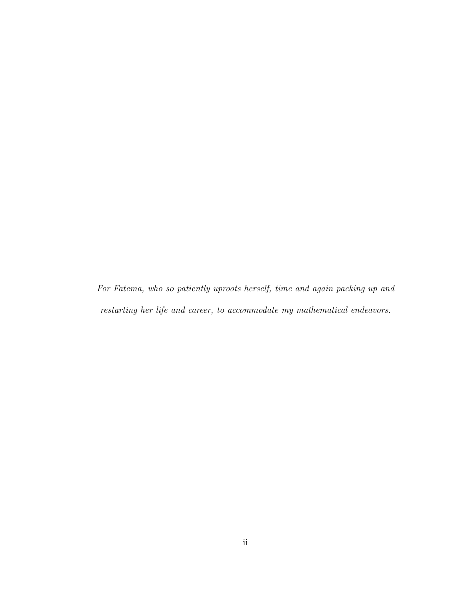For Fatema, who so patiently uproots herself, time and again packing up and restarting her life and career, to accommodate my mathematical endeavors.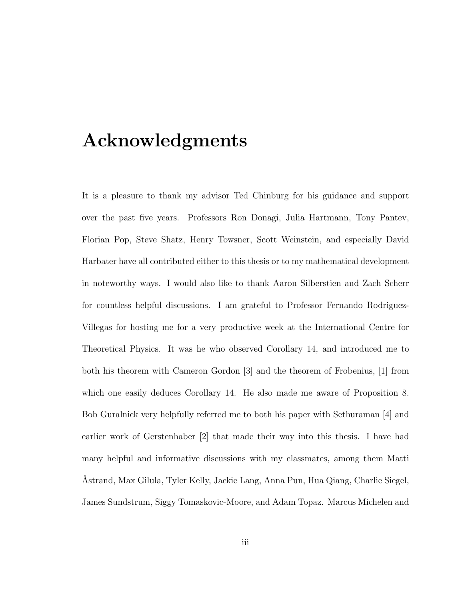### Acknowledgments

It is a pleasure to thank my advisor Ted Chinburg for his guidance and support over the past five years. Professors Ron Donagi, Julia Hartmann, Tony Pantev, Florian Pop, Steve Shatz, Henry Towsner, Scott Weinstein, and especially David Harbater have all contributed either to this thesis or to my mathematical development in noteworthy ways. I would also like to thank Aaron Silberstien and Zach Scherr for countless helpful discussions. I am grateful to Professor Fernando Rodriguez-Villegas for hosting me for a very productive week at the International Centre for Theoretical Physics. It was he who observed Corollary 14, and introduced me to both his theorem with Cameron Gordon [3] and the theorem of Frobenius, [1] from which one easily deduces Corollary 14. He also made me aware of Proposition 8. Bob Guralnick very helpfully referred me to both his paper with Sethuraman [4] and earlier work of Gerstenhaber [2] that made their way into this thesis. I have had many helpful and informative discussions with my classmates, among them Matti ˚Astrand, Max Gilula, Tyler Kelly, Jackie Lang, Anna Pun, Hua Qiang, Charlie Siegel, James Sundstrum, Siggy Tomaskovic-Moore, and Adam Topaz. Marcus Michelen and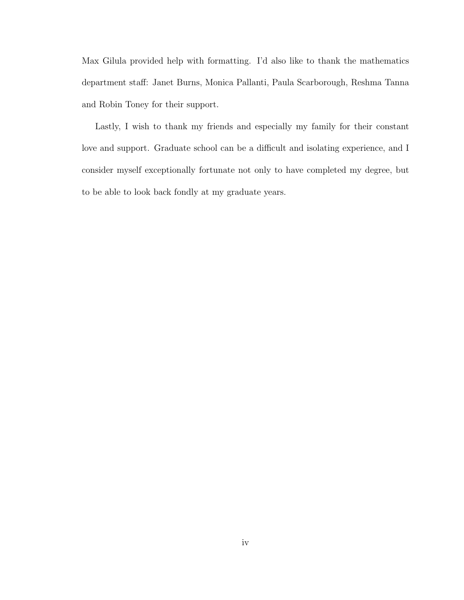Max Gilula provided help with formatting. I'd also like to thank the mathematics department staff: Janet Burns, Monica Pallanti, Paula Scarborough, Reshma Tanna and Robin Toney for their support.

Lastly, I wish to thank my friends and especially my family for their constant love and support. Graduate school can be a difficult and isolating experience, and I consider myself exceptionally fortunate not only to have completed my degree, but to be able to look back fondly at my graduate years.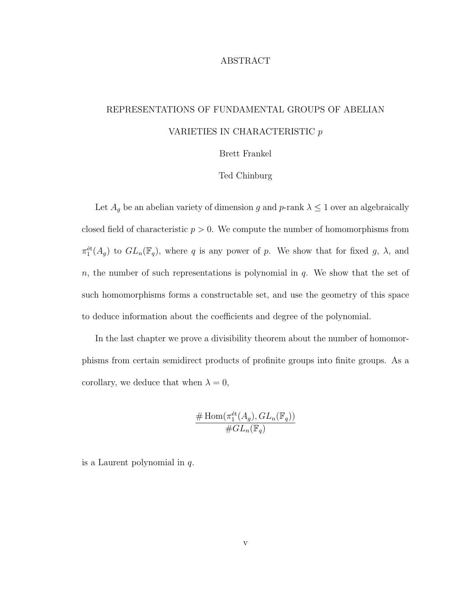#### ABSTRACT

#### REPRESENTATIONS OF FUNDAMENTAL GROUPS OF ABELIAN VARIETIES IN CHARACTERISTIC p

#### Brett Frankel

#### Ted Chinburg

Let  $A_g$  be an abelian variety of dimension g and p-rank  $\lambda \leq 1$  over an algebraically closed field of characteristic  $p > 0$ . We compute the number of homomorphisms from  $\pi_1^{\text{\'et}}(A_g)$  to  $GL_n(\mathbb{F}_q)$ , where q is any power of p. We show that for fixed g,  $\lambda$ , and  $n$ , the number of such representations is polynomial in  $q$ . We show that the set of such homomorphisms forms a constructable set, and use the geometry of this space to deduce information about the coefficients and degree of the polynomial.

In the last chapter we prove a divisibility theorem about the number of homomorphisms from certain semidirect products of profinite groups into finite groups. As a corollary, we deduce that when  $\lambda = 0$ ,

$$
\frac{\# \operatorname{Hom}(\pi_1^{\text{\'et}}(A_g), GL_n(\mathbb{F}_q))}{\# GL_n(\mathbb{F}_q)}
$$

is a Laurent polynomial in q.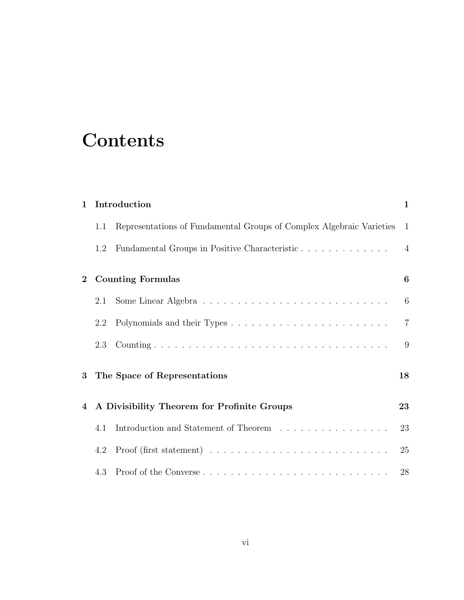# **Contents**

| $\mathbf{1}$   |     | Introduction                                                                             | $\mathbf{1}$   |
|----------------|-----|------------------------------------------------------------------------------------------|----------------|
|                | 1.1 | Representations of Fundamental Groups of Complex Algebraic Varieties                     | 1              |
|                | 1.2 |                                                                                          | $\overline{4}$ |
| $\overline{2}$ |     | <b>Counting Formulas</b>                                                                 | 6              |
|                | 2.1 |                                                                                          | 6              |
|                | 2.2 |                                                                                          | $\overline{7}$ |
|                | 2.3 |                                                                                          | 9              |
| 3              |     | The Space of Representations                                                             | 18             |
| $\overline{4}$ |     | A Divisibility Theorem for Profinite Groups                                              | 23             |
|                | 4.1 | Introduction and Statement of Theorem $\ldots \ldots \ldots \ldots \ldots$               | 23             |
|                | 4.2 | Proof (first statement) $\ldots \ldots \ldots \ldots \ldots \ldots \ldots \ldots \ldots$ | 25             |
|                | 4.3 |                                                                                          | 28             |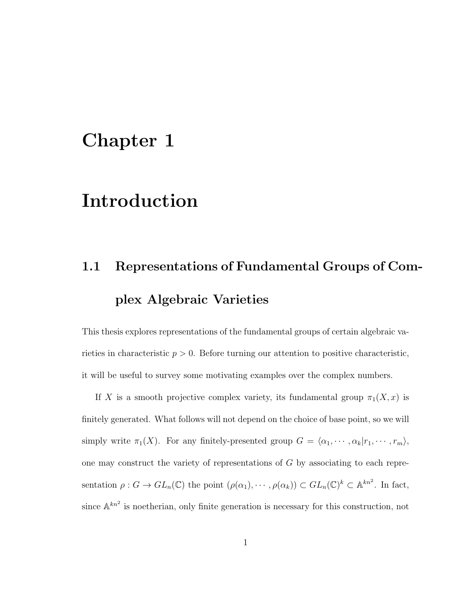### Chapter 1

### Introduction

# 1.1 Representations of Fundamental Groups of Complex Algebraic Varieties

This thesis explores representations of the fundamental groups of certain algebraic varieties in characteristic  $p > 0$ . Before turning our attention to positive characteristic, it will be useful to survey some motivating examples over the complex numbers.

If X is a smooth projective complex variety, its fundamental group  $\pi_1(X, x)$  is finitely generated. What follows will not depend on the choice of base point, so we will simply write  $\pi_1(X)$ . For any finitely-presented group  $G = \langle \alpha_1, \cdots, \alpha_k | r_1, \cdots, r_m \rangle$ , one may construct the variety of representations of G by associating to each representation  $\rho: G \to GL_n(\mathbb{C})$  the point  $(\rho(\alpha_1), \cdots, \rho(\alpha_k)) \subset GL_n(\mathbb{C})^k \subset \mathbb{A}^{kn^2}$ . In fact, since  $\mathbb{A}^{kn^2}$  is noetherian, only finite generation is necessary for this construction, not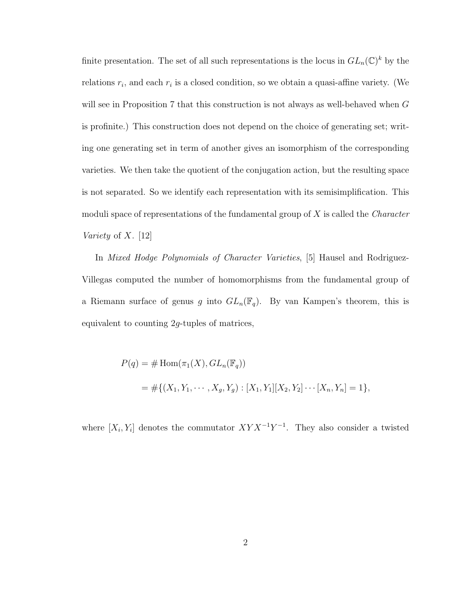finite presentation. The set of all such representations is the locus in  $GL_n(\mathbb{C})^k$  by the relations  $r_i$ , and each  $r_i$  is a closed condition, so we obtain a quasi-affine variety. (We will see in Proposition 7 that this construction is not always as well-behaved when G is profinite.) This construction does not depend on the choice of generating set; writing one generating set in term of another gives an isomorphism of the corresponding varieties. We then take the quotient of the conjugation action, but the resulting space is not separated. So we identify each representation with its semisimplification. This moduli space of representations of the fundamental group of  $X$  is called the *Character* Variety of  $X$ . [12]

In Mixed Hodge Polynomials of Character Varieties, [5] Hausel and Rodriguez-Villegas computed the number of homomorphisms from the fundamental group of a Riemann surface of genus g into  $GL_n(\mathbb{F}_q)$ . By van Kampen's theorem, this is equivalent to counting 2g-tuples of matrices,

$$
P(q) = # \text{Hom}(\pi_1(X), GL_n(\mathbb{F}_q))
$$
  
= #{ $(X_1, Y_1, \dots, X_g, Y_g) : [X_1, Y_1][X_2, Y_2] \dots [X_n, Y_n] = 1$ },

where  $[X_i, Y_i]$  denotes the commutator  $XYX^{-1}Y^{-1}$ . They also consider a twisted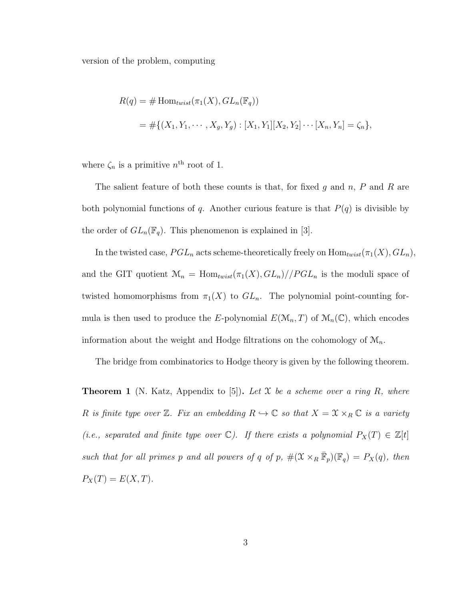version of the problem, computing

$$
R(q) = # \text{Hom}_{twist}(\pi_1(X), GL_n(\mathbb{F}_q))
$$
  
= #{ $(X_1, Y_1, \dots, X_g, Y_g) : [X_1, Y_1][X_2, Y_2] \dots [X_n, Y_n] = \zeta_n$ },

where  $\zeta_n$  is a primitive  $n^{\text{th}}$  root of 1.

The salient feature of both these counts is that, for fixed  $g$  and  $n$ ,  $P$  and  $R$  are both polynomial functions of q. Another curious feature is that  $P(q)$  is divisible by the order of  $GL_n(\mathbb{F}_q)$ . This phenomenon is explained in [3].

In the twisted case,  $PGL_n$  acts scheme-theoretically freely on  $\text{Hom}_{twist}(\pi_1(X), GL_n)$ , and the GIT quotient  $\mathcal{M}_n = \text{Hom}_{twist}(\pi_1(X), GL_n)//PGL_n$  is the moduli space of twisted homomorphisms from  $\pi_1(X)$  to  $GL_n$ . The polynomial point-counting formula is then used to produce the E-polynomial  $E(\mathcal{M}_n, T)$  of  $\mathcal{M}_n(\mathbb{C})$ , which encodes information about the weight and Hodge filtrations on the cohomology of  $\mathcal{M}_n$ .

The bridge from combinatorics to Hodge theory is given by the following theorem.

**Theorem 1** (N. Katz, Appendix to [5]). Let X be a scheme over a ring R, where R is finite type over Z. Fix an embedding  $R \hookrightarrow \mathbb{C}$  so that  $X = \mathcal{X} \times_R \mathbb{C}$  is a variety (i.e., separated and finite type over  $\mathbb{C}$ ). If there exists a polynomial  $P_X(T) \in \mathbb{Z}[t]$ such that for all primes p and all powers of q of p,  $\#(\mathfrak{X} \times_R \overline{\mathbb{F}}_p)(\mathbb{F}_q) = P_X(q)$ , then  $P_X(T) = E(X, T).$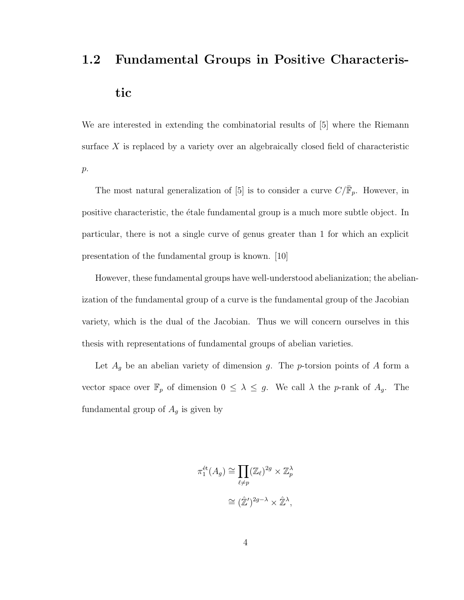# 1.2 Fundamental Groups in Positive Characteristic

We are interested in extending the combinatorial results of [5] where the Riemann surface  $X$  is replaced by a variety over an algebraically closed field of characteristic  $p$ .

The most natural generalization of [5] is to consider a curve  $C/\bar{\mathbb{F}}_p$ . However, in positive characteristic, the étale fundamental group is a much more subtle object. In particular, there is not a single curve of genus greater than 1 for which an explicit presentation of the fundamental group is known. [10]

However, these fundamental groups have well-understood abelianization; the abelianization of the fundamental group of a curve is the fundamental group of the Jacobian variety, which is the dual of the Jacobian. Thus we will concern ourselves in this thesis with representations of fundamental groups of abelian varieties.

Let  $A_g$  be an abelian variety of dimension g. The p-torsion points of A form a vector space over  $\mathbb{F}_p$  of dimension  $0 \leq \lambda \leq g$ . We call  $\lambda$  the *p*-rank of  $A_g$ . The fundamental group of  $A_g$  is given by

$$
\pi_1^{\text{\'et}}(A_g) \cong \prod_{\ell \neq p} (\mathbb{Z}_{\ell})^{2g} \times \mathbb{Z}_p^{\lambda}
$$

$$
\cong (\hat{\mathbb{Z}}')^{2g-\lambda} \times \hat{\mathbb{Z}}^{\lambda},
$$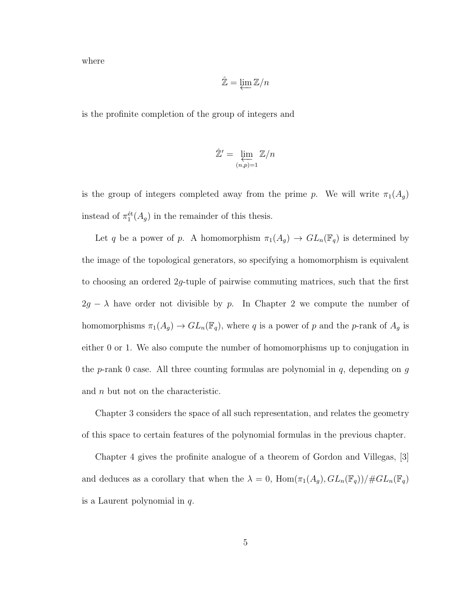where

$$
\hat{\mathbb{Z}} = \varprojlim \mathbb{Z}/n
$$

is the profinite completion of the group of integers and

$$
\hat{\mathbb{Z}}' = \varprojlim_{(n,p)=1} \mathbb{Z}/n
$$

is the group of integers completed away from the prime p. We will write  $\pi_1(A_g)$ instead of  $\pi_1^{\text{\'et}}(A_g)$  in the remainder of this thesis.

Let q be a power of p. A homomorphism  $\pi_1(A_g) \to GL_n(\mathbb{F}_q)$  is determined by the image of the topological generators, so specifying a homomorphism is equivalent to choosing an ordered 2g-tuple of pairwise commuting matrices, such that the first  $2g - \lambda$  have order not divisible by p. In Chapter 2 we compute the number of homomorphisms  $\pi_1(A_g) \to GL_n(\mathbb{F}_q)$ , where q is a power of p and the p-rank of  $A_g$  is either 0 or 1. We also compute the number of homomorphisms up to conjugation in the p-rank 0 case. All three counting formulas are polynomial in  $q$ , depending on  $g$ and n but not on the characteristic.

Chapter 3 considers the space of all such representation, and relates the geometry of this space to certain features of the polynomial formulas in the previous chapter.

Chapter 4 gives the profinite analogue of a theorem of Gordon and Villegas, [3] and deduces as a corollary that when the  $\lambda = 0$ ,  $\text{Hom}(\pi_1(A_g), GL_n(\mathbb{F}_q))/\# GL_n(\mathbb{F}_q)$ is a Laurent polynomial in  $q$ .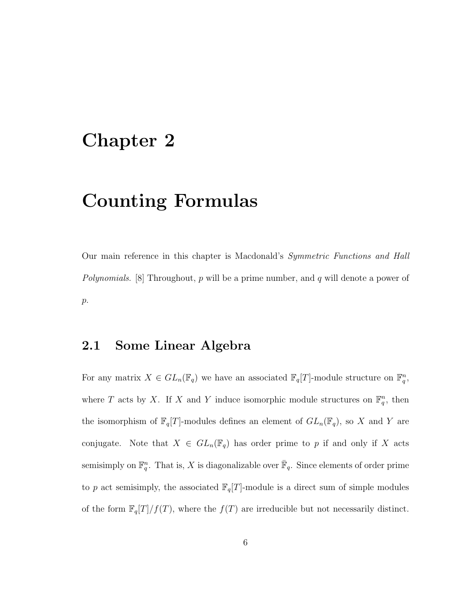### Chapter 2

## Counting Formulas

Our main reference in this chapter is Macdonald's Symmetric Functions and Hall *Polynomials.* [8] Throughout,  $p$  will be a prime number, and  $q$  will denote a power of  $p$ .

#### 2.1 Some Linear Algebra

For any matrix  $X \in GL_n(\mathbb{F}_q)$  we have an associated  $\mathbb{F}_q[T]$ -module structure on  $\mathbb{F}_q^n$ , where T acts by X. If X and Y induce isomorphic module structures on  $\mathbb{F}_q^n$ , then the isomorphism of  $\mathbb{F}_q[T]$ -modules defines an element of  $GL_n(\mathbb{F}_q)$ , so X and Y are conjugate. Note that  $X \in GL_n(\mathbb{F}_q)$  has order prime to p if and only if X acts semisimply on  $\mathbb{F}_q^n$ . That is, X is diagonalizable over  $\bar{\mathbb{F}}_q$ . Since elements of order prime to p act semisimply, the associated  $\mathbb{F}_q[T]$ -module is a direct sum of simple modules of the form  $\mathbb{F}_q[T]/f(T)$ , where the  $f(T)$  are irreducible but not necessarily distinct.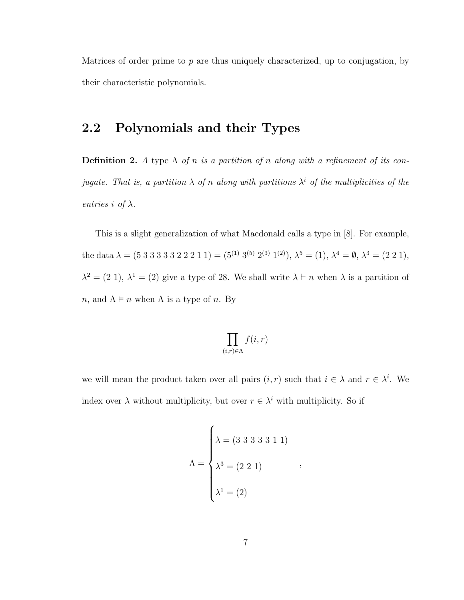Matrices of order prime to  $p$  are thus uniquely characterized, up to conjugation, by their characteristic polynomials.

#### 2.2 Polynomials and their Types

**Definition 2.** A type  $\Lambda$  of n is a partition of n along with a refinement of its conjugate. That is, a partition  $\lambda$  of n along with partitions  $\lambda^i$  of the multiplicities of the entries i of  $\lambda$ .

This is a slight generalization of what Macdonald calls a type in [8]. For example, the data  $\lambda = (5\ 3\ 3\ 3\ 3\ 2\ 2\ 2\ 1\ 1) = (5^{(1)}\ 3^{(5)}\ 2^{(3)}\ 1^{(2)}), \lambda^5 = (1), \lambda^4 = \emptyset, \lambda^3 = (2\ 2\ 1),$  $\lambda^2 = (2\ 1), \lambda^1 = (2)$  give a type of 28. We shall write  $\lambda \vdash n$  when  $\lambda$  is a partition of n, and  $\Lambda \models n$  when  $\Lambda$  is a type of n. By

$$
\prod_{(i,r)\in\Lambda}f(i,r)
$$

we will mean the product taken over all pairs  $(i, r)$  such that  $i \in \lambda$  and  $r \in \lambda^i$ . We index over  $\lambda$  without multiplicity, but over  $r \in \lambda^i$  with multiplicity. So if

$$
\Lambda = \begin{cases}\n\lambda = (3\ 3\ 3\ 3\ 3\ 1\ 1) \\
\lambda^3 = (2\ 2\ 1) \\
\lambda^1 = (2)\n\end{cases}
$$

,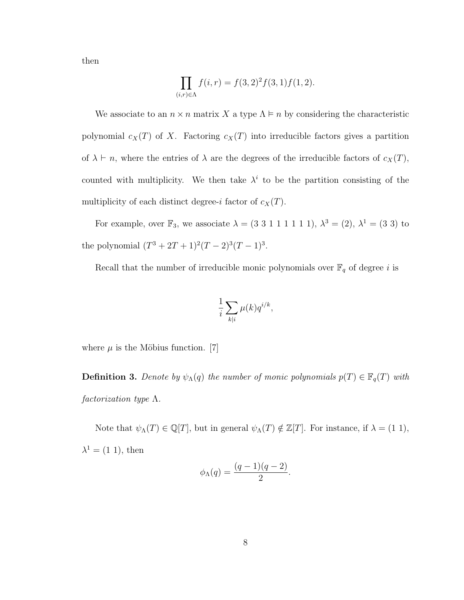then

$$
\prod_{(i,r)\in\Lambda} f(i,r) = f(3,2)^2 f(3,1) f(1,2).
$$

We associate to an  $n \times n$  matrix X a type  $\Lambda \models n$  by considering the characteristic polynomial  $c_X(T)$  of X. Factoring  $c_X(T)$  into irreducible factors gives a partition of  $\lambda \vdash n$ , where the entries of  $\lambda$  are the degrees of the irreducible factors of  $c_X(T)$ , counted with multiplicity. We then take  $\lambda^i$  to be the partition consisting of the multiplicity of each distinct degree-i factor of  $c_X(T)$ .

For example, over  $\mathbb{F}_3$ , we associate  $\lambda = (3 \ 3 \ 1 \ 1 \ 1 \ 1 \ 1)$ ,  $\lambda^3 = (2)$ ,  $\lambda^1 = (3 \ 3)$  to the polynomial  $(T^3 + 2T + 1)^2(T - 2)^3(T - 1)^3$ .

Recall that the number of irreducible monic polynomials over  $\mathbb{F}_q$  of degree  $i$  is

$$
\frac{1}{i} \sum_{k|i} \mu(k) q^{i/k},
$$

where  $\mu$  is the Möbius function. [7]

**Definition 3.** Denote by  $\psi_{\Lambda}(q)$  the number of monic polynomials  $p(T) \in \mathbb{F}_q(T)$  with factorization type Λ.

Note that  $\psi_{\Lambda}(T) \in \mathbb{Q}[T]$ , but in general  $\psi_{\Lambda}(T) \notin \mathbb{Z}[T]$ . For instance, if  $\lambda = (1 \ 1)$ ,  $\lambda^1 = (1\ 1)$ , then

$$
\phi_{\Lambda}(q) = \frac{(q-1)(q-2)}{2}.
$$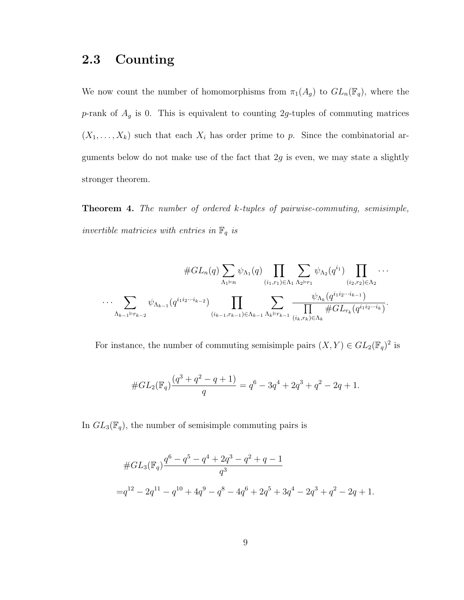#### 2.3 Counting

We now count the number of homomorphisms from  $\pi_1(A_g)$  to  $GL_n(\mathbb{F}_q)$ , where the p-rank of  $A_g$  is 0. This is equivalent to counting 2g-tuples of commuting matrices  $(X_1, \ldots, X_k)$  such that each  $X_i$  has order prime to p. Since the combinatorial arguments below do not make use of the fact that  $2g$  is even, we may state a slightly stronger theorem.

Theorem 4. The number of ordered k-tuples of pairwise-commuting, semisimple, invertible matricies with entries in  $\mathbb{F}_q$  is

$$
\#GL_n(q) \sum_{\Lambda_1 \vDash n} \psi_{\Lambda_1}(q) \prod_{(i_1,r_1) \in \Lambda_1} \sum_{\Lambda_2 \vDash r_1} \psi_{\Lambda_2}(q^{i_1}) \prod_{(i_2,r_2) \in \Lambda_2} \cdots
$$
  

$$
\cdots \sum_{\Lambda_{k-1} \vDash r_{k-2}} \psi_{\Lambda_{k-1}}(q^{i_1 i_2 \cdots i_{k-2}}) \prod_{(i_{k-1},r_{k-1}) \in \Lambda_{k-1}} \sum_{\Lambda_k \vDash r_{k-1}} \frac{\psi_{\Lambda_k}(q^{i_1 i_2 \cdots i_{k-1}})}{\prod_{(i_k,r_k) \in \Lambda_k} \#GL_{r_k}(q^{i_1 i_2 \cdots i_k})}.
$$

For instance, the number of commuting semisimple pairs  $(X, Y) \in GL_2(\mathbb{F}_q)^2$  is

$$
#GL_2(\mathbb{F}_q)\frac{(q^3+q^2-q+1)}{q} = q^6 - 3q^4 + 2q^3 + q^2 - 2q + 1.
$$

In  $GL_3(\mathbb{F}_q)$ , the number of semisimple commuting pairs is

$$
#GL_3(\mathbb{F}_q)\frac{q^6 - q^5 - q^4 + 2q^3 - q^2 + q - 1}{q^3}
$$
  
= $q^{12} - 2q^{11} - q^{10} + 4q^9 - q^8 - 4q^6 + 2q^5 + 3q^4 - 2q^3 + q^2 - 2q + 1.$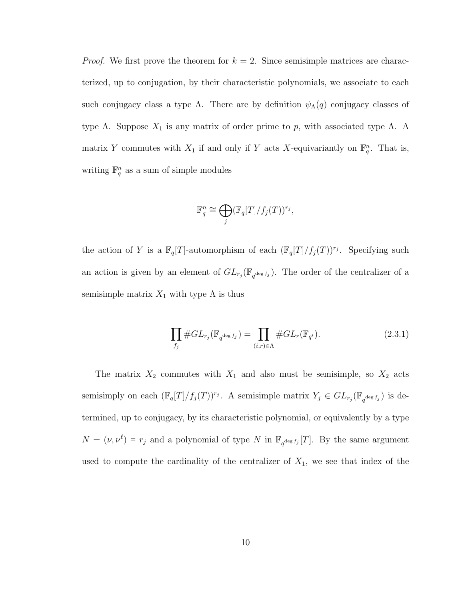*Proof.* We first prove the theorem for  $k = 2$ . Since semisimple matrices are characterized, up to conjugation, by their characteristic polynomials, we associate to each such conjugacy class a type  $\Lambda$ . There are by definition  $\psi_{\Lambda}(q)$  conjugacy classes of type Λ. Suppose  $X_1$  is any matrix of order prime to p, with associated type Λ. A matrix Y commutes with  $X_1$  if and only if Y acts X-equivariantly on  $\mathbb{F}_q^n$ . That is, writing  $\mathbb{F}_q^n$  as a sum of simple modules

$$
\mathbb{F}_q^n \cong \bigoplus_j (\mathbb{F}_q[T]/f_j(T))^{r_j},
$$

the action of Y is a  $\mathbb{F}_q[T]$ -automorphism of each  $(\mathbb{F}_q[T]/f_j(T))^{r_j}$ . Specifying such an action is given by an element of  $GL_{r_j}(\mathbb{F}_{q^{\deg f_j}})$ . The order of the centralizer of a semisimple matrix  $X_1$  with type  $\Lambda$  is thus

$$
\prod_{f_j} \# GL_{r_j}(\mathbb{F}_{q^{\deg f_j}}) = \prod_{(i,r)\in\Lambda} \# GL_r(\mathbb{F}_{q^i}).\tag{2.3.1}
$$

The matrix  $X_2$  commutes with  $X_1$  and also must be semisimple, so  $X_2$  acts semisimply on each  $(\mathbb{F}_q[T]/f_j(T))^{r_j}$ . A semisimple matrix  $Y_j \in GL_{r_j}(\mathbb{F}_{q^{\deg f_j}})$  is determined, up to conjugacy, by its characteristic polynomial, or equivalently by a type  $N = (\nu, \nu^{\ell}) \models r_j$  and a polynomial of type N in  $\mathbb{F}_{q^{\deg f_j}}[T]$ . By the same argument used to compute the cardinality of the centralizer of  $X_1$ , we see that index of the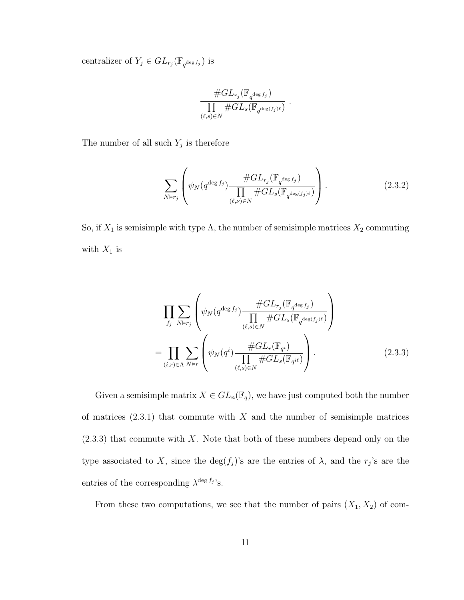centralizer of  $Y_j \in GL_{r_j}(\mathbb{F}_{q^{\deg f_j}})$  is

$$
\frac{\# GL_{r_j}(\mathbb{F}_{q^{\deg f_j}})}{\prod\limits_{(\ell,s)\in N}\# GL_s(\mathbb{F}_{q^{\deg(f_j)\ell}})}
$$

The number of all such  $Y_j$  is therefore

$$
\sum_{N \models r_j} \left( \psi_N(q^{\deg f_j}) \frac{\# GL_{r_j}(\mathbb{F}_{q^{\deg f_j}})}{\prod_{(\ell,\nu) \in N} \# GL_s(\mathbb{F}_{q^{\deg(f_j)\ell}})} \right). \tag{2.3.2}
$$

.

So, if  $X_1$  is semisimple with type  $\Lambda$ , the number of semisimple matrices  $X_2$  commuting with  $X_1$  is

$$
\prod_{f_j} \sum_{N \vDash r_j} \left( \psi_N(q^{\deg f_j}) \frac{\# GL_{r_j}(\mathbb{F}_{q^{\deg f_j}})}{\prod_{(\ell,s) \in N} \# GL_s(\mathbb{F}_{q^{\deg(f_j)\ell}})} \right)
$$
\n
$$
= \prod_{(i,r) \in \Lambda} \sum_{N \vDash r} \left( \psi_N(q^i) \frac{\# GL_r(\mathbb{F}_{q^i})}{\prod_{(\ell,s) \in N} \# GL_s(\mathbb{F}_{q^{i\ell}})} \right).
$$
\n(2.3.3)

Given a semisimple matrix  $X \in GL_n(\mathbb{F}_q)$ , we have just computed both the number of matrices  $(2.3.1)$  that commute with X and the number of semisimple matrices  $(2.3.3)$  that commute with X. Note that both of these numbers depend only on the type associated to X, since the  $\deg(f_j)$ 's are the entries of  $\lambda$ , and the  $r_j$ 's are the entries of the corresponding  $\lambda^{\deg f_j}$ 's.

From these two computations, we see that the number of pairs  $(X_1, X_2)$  of com-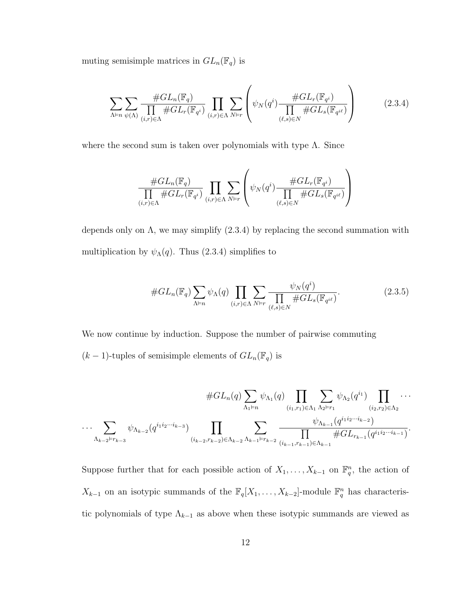muting semisimple matrices in  $GL_n(\mathbb{F}_q)$  is

$$
\sum_{\Lambda \vdash n} \sum_{\psi(\Lambda)} \frac{\# GL_n(\mathbb{F}_q)}{\prod_{(i,r)\in\Lambda} \# GL_r(\mathbb{F}_{q^i})} \prod_{(i,r)\in\Lambda} \sum_{N \vdash r} \left( \psi_N(q^i) \frac{\# GL_r(\mathbb{F}_{q^i})}{\prod_{(\ell,s)\in N} \# GL_s(\mathbb{F}_{q^{i\ell}})} \right) \tag{2.3.4}
$$

where the second sum is taken over polynomials with type  $\Lambda$ . Since

$$
\frac{\#GL_n(\mathbb{F}_q)}{\prod\limits_{(i,r)\in\Lambda}\#GL_r(\mathbb{F}_{q^i})}\prod\limits_{(i,r)\in\Lambda}\sum\limits_{N\vdash r}\left(\psi_N(q^i)\frac{\#GL_r(\mathbb{F}_{q^i})}{\prod\limits_{(\ell,s)\in N}\#GL_s(\mathbb{F}_{q^{i\ell}})}\right)
$$

depends only on  $\Lambda$ , we may simplify  $(2.3.4)$  by replacing the second summation with multiplication by  $\psi_{\Lambda}(q)$ . Thus (2.3.4) simplifies to

$$
#GL_n(\mathbb{F}_q)\sum_{\Lambda \vDash n} \psi_{\Lambda}(q) \prod_{(i,r)\in \Lambda} \sum_{N \vDash r} \frac{\psi_N(q^i)}{\prod_{(\ell,s)\in N} #GL_s(\mathbb{F}_{q^{i\ell}})}.
$$
\n(2.3.5)

We now continue by induction. Suppose the number of pairwise commuting  $(k-1)$ -tuples of semisimple elements of  $GL_n(\mathbb{F}_q)$  is

$$
\#GL_n(q) \sum_{\Lambda_1 \vdash n} \psi_{\Lambda_1}(q) \prod_{(i_1,r_1) \in \Lambda_1} \sum_{\Lambda_2 \vdash r_1} \psi_{\Lambda_2}(q^{i_1}) \prod_{(i_2,r_2) \in \Lambda_2} \cdots
$$
  

$$
\cdots \sum_{\Lambda_{k-2} \vdash r_{k-3}} \psi_{\Lambda_{k-2}}(q^{i_1 i_2 \cdots i_{k-3}}) \prod_{(i_{k-2},r_{k-2}) \in \Lambda_{k-2}} \sum_{\Lambda_{k-1} \vdash r_{k-2}} \frac{\psi_{\Lambda_{k-1}}(q^{i_1 i_2 \cdots i_{k-2}})}{\prod_{(i_{k-1},r_{k-1}) \in \Lambda_{k-1}} \#GL_{r_{k-1}}(q^{i_1 i_2 \cdots i_{k-1}})}.
$$

Suppose further that for each possible action of  $X_1, \ldots, X_{k-1}$  on  $\mathbb{F}_q^n$ , the action of  $X_{k-1}$  on an isotypic summands of the  $\mathbb{F}_q[X_1,\ldots,X_{k-2}]$ -module  $\mathbb{F}_q^n$  has characteristic polynomials of type  $\Lambda_{k-1}$  as above when these isotypic summands are viewed as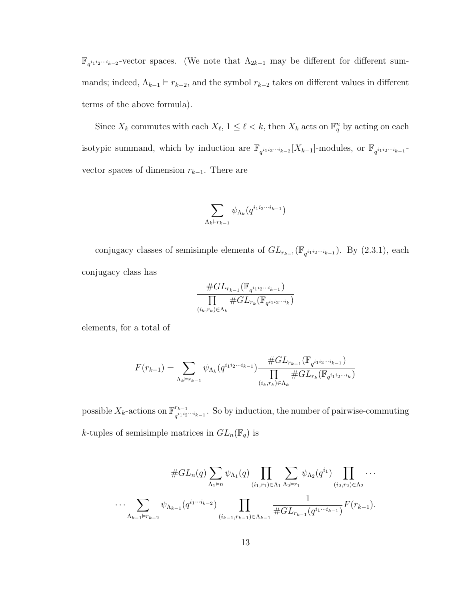$\mathbb{F}_{q^{i_1 i_2 \cdots i_{k-2}}}$ -vector spaces. (We note that  $\Lambda_{2k-1}$  may be different for different summands; indeed,  $\Lambda_{k-1} \models r_{k-2}$ , and the symbol  $r_{k-2}$  takes on different values in different terms of the above formula).

Since  $X_k$  commutes with each  $X_{\ell}$ ,  $1 \leq \ell < k$ , then  $X_k$  acts on  $\mathbb{F}_q^n$  by acting on each isotypic summand, which by induction are  $\mathbb{F}_{q^{i_1 i_2 \cdots i_{k-2}}}[X_{k-1}]$ -modules, or  $\mathbb{F}_{q^{i_1 i_2 \cdots i_{k-1}}}$ vector spaces of dimension  $r_{k-1}$ . There are

$$
\sum_{\Lambda_k \vDash r_{k-1}} \psi_{\Lambda_k}(q^{i_1 i_2 \cdots i_{k-1}})
$$

conjugacy classes of semisimple elements of  $GL_{r_{k-1}}(\mathbb{F}_{q^{i_1 i_2 \cdots i_{k-1}}})$ . By (2.3.1), each conjugacy class has

$$
\frac{\# GL_{r_{k-1}}(\mathbb{F}_{q^{i_1 i_2 \cdots i_{k-1}}})}{\prod\limits_{(i_k,r_k)\in\Lambda_k} \# GL_{r_k}(\mathbb{F}_{q^{i_1 i_2 \cdots i_k}})}
$$

elements, for a total of

$$
F(r_{k-1}) = \sum_{\Lambda_k \vdash r_{k-1}} \psi_{\Lambda_k}(q^{i_1 i_2 \cdots i_{k-1}}) \frac{\# GL_{r_{k-1}}(\mathbb{F}_{q^{i_1 i_2 \cdots i_{k-1}}})}{\prod_{(i_k, r_k) \in \Lambda_k} \# GL_{r_k}(\mathbb{F}_{q^{i_1 i_2 \cdots i_k}})}
$$

possible  $X_k$ -actions on  $\mathbb{F}^{r_{k-1}}_{a_1^{i_1}i_2}$  $\frac{r_{k-1}}{q^{i_1 i_2 \cdots i_{k-1}}}$ . So by induction, the number of pairwise-commuting k-tuples of semisimple matrices in  $GL_n(\mathbb{F}_q)$  is

$$
\#GL_n(q)\sum_{\Lambda_1\models n}\psi_{\Lambda_1}(q)\prod_{(i_1,r_1)\in\Lambda_1}\sum_{\Lambda_2\models r_1}\psi_{\Lambda_2}(q^{i_1})\prod_{(i_2,r_2)\in\Lambda_2}\cdots
$$
  

$$
\cdots \sum_{\Lambda_{k-1}\models r_{k-2}}\psi_{\Lambda_{k-1}}(q^{i_1\cdots i_{k-2}})\prod_{(i_{k-1},r_{k-1})\in\Lambda_{k-1}}\frac{1}{\#GL_{r_{k-1}}(q^{i_1\cdots i_{k-1}})}F(r_{k-1}).
$$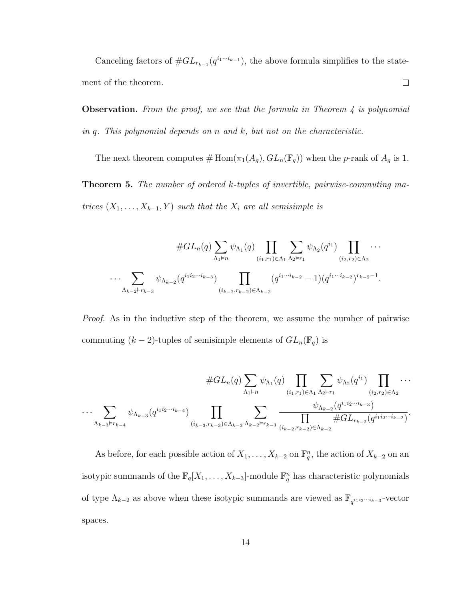Canceling factors of  $#GL_{r_{k-1}}(q^{i_1\cdots i_{k-1}})$ , the above formula simplifies to the statement of the theorem.  $\Box$ 

**Observation.** From the proof, we see that the formula in Theorem  $\lambda$  is polynomial in q. This polynomial depends on  $n$  and  $k$ , but not on the characteristic.

The next theorem computes  $\#\, \text{Hom}(\pi_1(A_g), GL_n(\mathbb{F}_q))$  when the p-rank of  $A_g$  is 1.

Theorem 5. The number of ordered k-tuples of invertible, pairwise-commuting matrices  $(X_1, \ldots, X_{k-1}, Y)$  such that the  $X_i$  are all semisimple is

$$
\#GL_n(q)\sum_{\Lambda_1\models n}\psi_{\Lambda_1}(q)\prod_{(i_1,r_1)\in\Lambda_1}\sum_{\Lambda_2\models r_1}\psi_{\Lambda_2}(q^{i_1})\prod_{(i_2,r_2)\in\Lambda_2}\cdots
$$
  

$$
\cdots \sum_{\Lambda_{k-2}\vdash r_{k-3}}\psi_{\Lambda_{k-2}}(q^{i_1i_2\cdots i_{k-3}})\prod_{(i_{k-2},r_{k-2})\in\Lambda_{k-2}}(q^{i_1\cdots i_{k-2}}-1)(q^{i_1\cdots i_{k-2}})^{r_{k-2}-1}.
$$

Proof. As in the inductive step of the theorem, we assume the number of pairwise commuting  $(k-2)$ -tuples of semisimple elements of  $GL_n(\mathbb{F}_q)$  is

$$
\#GL_n(q) \sum_{\Lambda_1 \vdash n} \psi_{\Lambda_1}(q) \prod_{(i_1,r_1) \in \Lambda_1} \sum_{\Lambda_2 \vdash r_1} \psi_{\Lambda_2}(q^{i_1}) \prod_{(i_2,r_2) \in \Lambda_2} \cdots
$$
  

$$
\cdots \sum_{\Lambda_{k-3} \vdash r_{k-4}} \psi_{\Lambda_{k-3}}(q^{i_1 i_2 \cdots i_{k-4}}) \prod_{(i_{k-3},r_{k-3}) \in \Lambda_{k-3}} \sum_{\Lambda_{k-2} \vdash r_{k-3}} \frac{\psi_{\Lambda_{k-2}}(q^{i_1 i_2 \cdots i_{k-3}})}{\prod_{(i_{k-2},r_{k-2}) \in \Lambda_{k-2}} \#GL_{r_{k-2}}(q^{i_1 i_2 \cdots i_{k-2}})}.
$$

As before, for each possible action of  $X_1, \ldots, X_{k-2}$  on  $\mathbb{F}_q^n$ , the action of  $X_{k-2}$  on an isotypic summands of the  $\mathbb{F}_q[X_1, \ldots, X_{k-3}]$ -module  $\mathbb{F}_q^n$  has characteristic polynomials of type  $\Lambda_{k-2}$  as above when these isotypic summands are viewed as  $\mathbb{F}_{q^{i_1 i_2 \cdots i_{k-3}}}$ -vector spaces.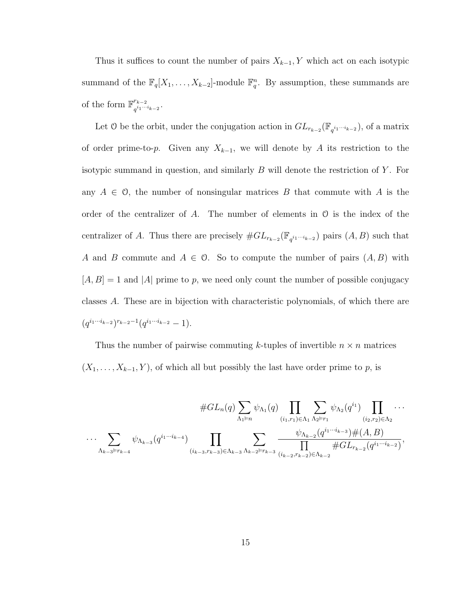Thus it suffices to count the number of pairs  $X_{k-1}$ , Y which act on each isotypic summand of the  $\mathbb{F}_q[X_1,\ldots,X_{k-2}]$ -module  $\mathbb{F}_q^n$ . By assumption, these summands are of the form  $\mathbb{F}^{r_{k-2}}_{i_1...i_k}$  $q^{i_1\cdot\cdot\cdot i_{k-2}}\cdot$ 

Let 0 be the orbit, under the conjugation action in  $GL_{r_{k-2}}(\mathbb{F}_{q^{i_1\cdots i_{k-2}}})$ , of a matrix of order prime-to-p. Given any  $X_{k-1}$ , we will denote by A its restriction to the isotypic summand in question, and similarly  $B$  will denote the restriction of  $Y$ . For any  $A \in \mathcal{O}$ , the number of nonsingular matrices B that commute with A is the order of the centralizer of A. The number of elements in  $\mathcal O$  is the index of the centralizer of A. Thus there are precisely  $#GL_{r_{k-2}}(\mathbb{F}_{q^{i_1\cdots i_{k-2}}})$  pairs  $(A, B)$  such that A and B commute and  $A \in \mathcal{O}$ . So to compute the number of pairs  $(A, B)$  with  $[A, B] = 1$  and  $|A|$  prime to p, we need only count the number of possible conjugacy classes A. These are in bijection with characteristic polynomials, of which there are  $(q^{i_1\cdots i_{k-2}})^{r_{k-2}-1}(q^{i_1\cdots i_{k-2}}-1).$ 

Thus the number of pairwise commuting k-tuples of invertible  $n \times n$  matrices  $(X_1, \ldots, X_{k-1}, Y)$ , of which all but possibly the last have order prime to p, is

$$
\#GL_n(q) \sum_{\Lambda_1 \vDash n} \psi_{\Lambda_1}(q) \prod_{(i_1,r_1) \in \Lambda_1} \sum_{\Lambda_2 \vDash r_1} \psi_{\Lambda_2}(q^{i_1}) \prod_{(i_2,r_2) \in \Lambda_2} \cdots
$$
  

$$
\cdots \sum_{\Lambda_{k-3} \vDash r_{k-4}} \psi_{\Lambda_{k-3}}(q^{i_1 \cdots i_{k-4}}) \prod_{(i_{k-3},r_{k-3}) \in \Lambda_{k-3}} \sum_{\Lambda_{k-2} \vDash r_{k-3}} \frac{\psi_{\Lambda_{k-2}}(q^{i_1 \cdots i_{k-3}}) \#(A,B)}{\prod_{(i_{k-2},r_{k-2}) \in \Lambda_{k-2}} \#GL_{r_{k-2}}(q^{i_1 \cdots i_{k-2}})},
$$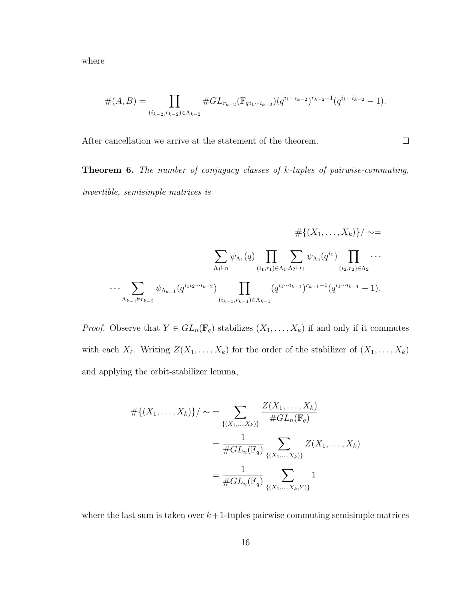where

$$
#(A,B) = \prod_{(i_{k-2},r_{k-2}) \in \Lambda_{k-2}} #GL_{r_{k-2}}(\mathbb{F}_{q i_1 \cdots i_{k-2}})(q^{i_1 \cdots i_{k-2}})^{r_{k-2}-1}(q^{i_1 \cdots i_{k-2}}-1).
$$

 $\Box$ 

After cancellation we arrive at the statement of the theorem.

Theorem 6. The number of conjugacy classes of k-tuples of pairwise-commuting, invertible, semisimple matrices is

$$
\# \{(X_1, \ldots, X_k)\} / \sim =
$$
  

$$
\sum_{\Lambda_1 \vdash n} \psi_{\Lambda_1}(q) \prod_{(i_1, r_1) \in \Lambda_1} \sum_{\Lambda_2 \vdash r_1} \psi_{\Lambda_2}(q^{i_1}) \prod_{(i_2, r_2) \in \Lambda_2} \cdots
$$
  

$$
\cdots \sum_{\Lambda_{k-1} \vdash r_{k-2}} \psi_{\Lambda_{k-1}}(q^{i_1 i_2 \cdots i_{k-2}}) \prod_{(i_{k-1}, r_{k-1}) \in \Lambda_{k-1}} (q^{i_1 \cdots i_{k-1}})^{r_{k-1}-1} (q^{i_1 \cdots i_{k-1}} - 1).
$$

*Proof.* Observe that  $Y \in GL_n(\mathbb{F}_q)$  stabilizes  $(X_1, \ldots, X_k)$  if and only if it commutes with each  $X_{\ell}$ . Writing  $Z(X_1, \ldots, X_k)$  for the order of the stabilizer of  $(X_1, \ldots, X_k)$ and applying the orbit-stabilizer lemma,

$$
\# \{ (X_1, \ldots, X_k) \} / \sim = \sum_{\{ (X_1, \ldots, X_k) \}} \frac{Z(X_1, \ldots, X_k)}{\# GL_n(\mathbb{F}_q)}
$$

$$
= \frac{1}{\# GL_n(\mathbb{F}_q)} \sum_{\{ (X_1, \ldots, X_k) \}} Z(X_1, \ldots, X_k)
$$

$$
= \frac{1}{\# GL_n(\mathbb{F}_q)} \sum_{\{ (X_1, \ldots, X_k, Y) \}} 1
$$

where the last sum is taken over  $k+1$ -tuples pairwise commuting semisimple matrices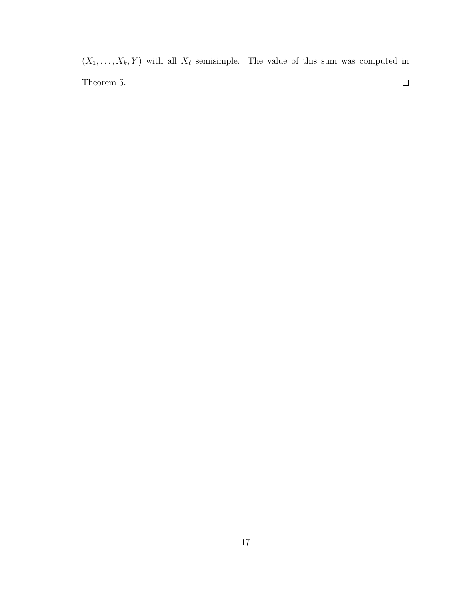$(X_1, \ldots, X_k, Y)$  with all  $X_\ell$  semisimple. The value of this sum was computed in Theorem 5.  $\Box$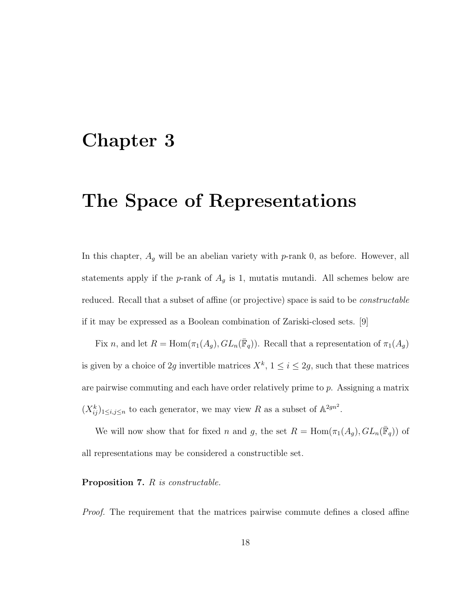#### Chapter 3

### The Space of Representations

In this chapter,  $A_g$  will be an abelian variety with p-rank 0, as before. However, all statements apply if the p-rank of  $A<sub>g</sub>$  is 1, mutatis mutandi. All schemes below are reduced. Recall that a subset of affine (or projective) space is said to be constructable if it may be expressed as a Boolean combination of Zariski-closed sets. [9]

Fix n, and let  $R = \text{Hom}(\pi_1(A_g), GL_n(\overline{\mathbb{F}}_q))$ . Recall that a representation of  $\pi_1(A_g)$ is given by a choice of 2g invertible matrices  $X^k$ ,  $1 \leq i \leq 2g$ , such that these matrices are pairwise commuting and each have order relatively prime to p. Assigning a matrix  $(X_{ij}^k)_{1\le i,j\le n}$  to each generator, we may view R as a subset of  $\mathbb{A}^{2gn^2}$ .

We will now show that for fixed n and g, the set  $R = \text{Hom}(\pi_1(A_g), GL_n(\overline{\mathbb{F}}_q))$  of all representations may be considered a constructible set.

#### Proposition 7. R is constructable.

Proof. The requirement that the matrices pairwise commute defines a closed affine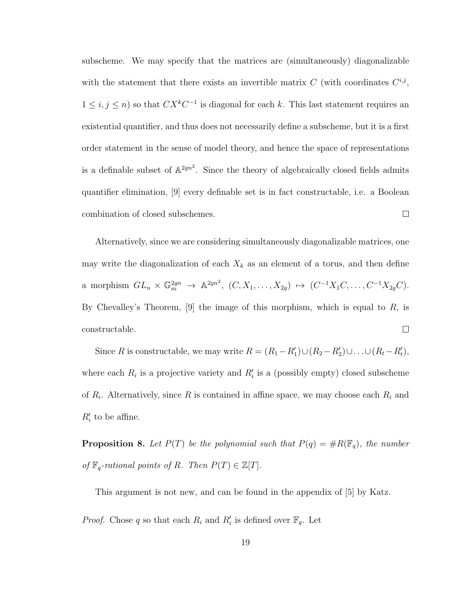subscheme. We may specify that the matrices are (simultaneously) diagonalizable with the statement that there exists an invertible matrix C (with coordinates  $C^{i,j}$ ,  $1 \leq i, j \leq n$ ) so that  $CX^kC^{-1}$  is diagonal for each k. This last statement requires an existential quantifier, and thus does not necessarily define a subscheme, but it is a first order statement in the sense of model theory, and hence the space of representations is a definable subset of  $\mathbb{A}^{2gn^2}$ . Since the theory of algebraically closed fields admits quantifier elimination, [9] every definable set is in fact constructable, i.e. a Boolean combination of closed subschemes.  $\Box$ 

Alternatively, since we are considering simultaneously diagonalizable matrices, one may write the diagonalization of each  $X_k$  as an element of a torus, and then define a morphism  $GL_n \times \mathbb{G}_m^{2gn} \to \mathbb{A}^{2gn^2}$ ,  $(C, X_1, \ldots, X_{2g}) \mapsto (C^{-1}X_1C, \ldots, C^{-1}X_{2g}C)$ . By Chevalley's Theorem,  $[9]$  the image of this morphism, which is equal to  $R$ , is constructable.  $\Box$ 

Since R is constructable, we may write  $R = (R_1 - R'_1) \cup (R_2 - R'_2) \cup ... \cup (R_t - R'_t)$ , where each  $R_i$  is a projective variety and  $R'_i$  is a (possibly empty) closed subscheme of  $R_i$ . Alternatively, since R is contained in affine space, we may choose each  $R_i$  and  $R'_i$  to be affine.

**Proposition 8.** Let  $P(T)$  be the polynomial such that  $P(q) = \#R(\mathbb{F}_q)$ , the number of  $\mathbb{F}_q$ -rational points of R. Then  $P(T) \in \mathbb{Z}[T]$ .

This argument is not new, and can be found in the appendix of [5] by Katz.

*Proof.* Chose q so that each  $R_i$  and  $R'_i$  is defined over  $\mathbb{F}_q$ . Let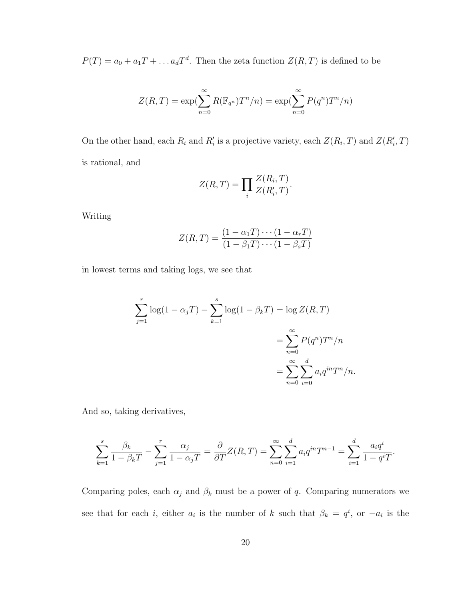$P(T) = a_0 + a_1 T + \dots + a_d T^d$ . Then the zeta function  $Z(R, T)$  is defined to be

$$
Z(R,T) = \exp\left(\sum_{n=0}^{\infty} R(\mathbb{F}_{q^n})T^n/n\right) = \exp\left(\sum_{n=0}^{\infty} P(q^n)T^n/n\right)
$$

On the other hand, each  $R_i$  and  $R'_i$  is a projective variety, each  $Z(R_i, T)$  and  $Z(R'_i, T)$ is rational, and

$$
Z(R,T) = \prod_i \frac{Z(R_i,T)}{Z(R'_i,T)}.
$$

Writing

$$
Z(R,T) = \frac{(1 - \alpha_1 T) \cdots (1 - \alpha_r T)}{(1 - \beta_1 T) \cdots (1 - \beta_s T)}
$$

in lowest terms and taking logs, we see that

$$
\sum_{j=1}^{r} \log(1 - \alpha_j T) - \sum_{k=1}^{s} \log(1 - \beta_k T) = \log Z(R, T)
$$
  
= 
$$
\sum_{n=0}^{\infty} P(q^n) T^n/n
$$
  
= 
$$
\sum_{n=0}^{\infty} \sum_{i=0}^{d} a_i q^{in} T^n/n.
$$

And so, taking derivatives,

$$
\sum_{k=1}^{s} \frac{\beta_k}{1 - \beta_k T} - \sum_{j=1}^{r} \frac{\alpha_j}{1 - \alpha_j T} = \frac{\partial}{\partial T} Z(R, T) = \sum_{n=0}^{\infty} \sum_{i=1}^{d} a_i q^{in} T^{n-1} = \sum_{i=1}^{d} \frac{a_i q^i}{1 - q^i T}.
$$

Comparing poles, each  $\alpha_j$  and  $\beta_k$  must be a power of q. Comparing numerators we see that for each *i*, either  $a_i$  is the number of k such that  $\beta_k = q^i$ , or  $-a_i$  is the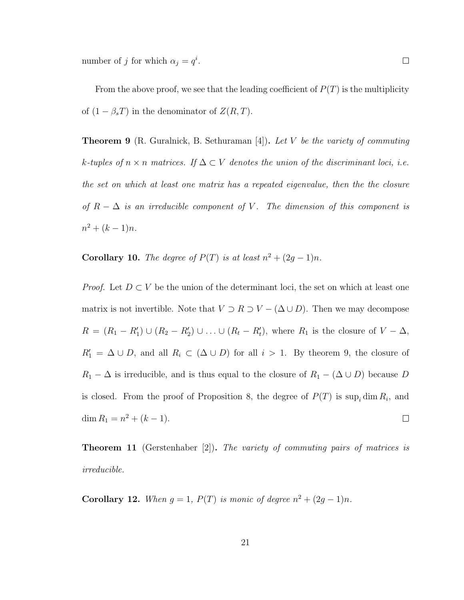number of j for which  $\alpha_j = q^i$ .

From the above proof, we see that the leading coefficient of  $P(T)$  is the multiplicity of  $(1 - \beta_s T)$  in the denominator of  $Z(R, T)$ .

**Theorem 9** (R. Guralnick, B. Sethuraman [4]). Let V be the variety of commuting k-tuples of  $n \times n$  matrices. If  $\Delta \subset V$  denotes the union of the discriminant loci, i.e. the set on which at least one matrix has a repeated eigenvalue, then the the closure of  $R - \Delta$  is an irreducible component of V. The dimension of this component is  $n^2 + (k-1)n$ .

**Corollary 10.** The degree of  $P(T)$  is at least  $n^2 + (2g - 1)n$ .

*Proof.* Let  $D \subset V$  be the union of the determinant loci, the set on which at least one matrix is not invertible. Note that  $V \supset R \supset V - (\Delta \cup D)$ . Then we may decompose  $R = (R_1 - R_1') \cup (R_2 - R_2') \cup ... \cup (R_t - R_t')$ , where  $R_1$  is the closure of  $V - \Delta$ ,  $R_1' = \Delta \cup D$ , and all  $R_i \subset (\Delta \cup D)$  for all  $i > 1$ . By theorem 9, the closure of  $R_1 - \Delta$  is irreducible, and is thus equal to the closure of  $R_1 - (\Delta \cup D)$  because D is closed. From the proof of Proposition 8, the degree of  $P(T)$  is  $\sup_i \dim R_i$ , and  $\dim R_1 = n^2 + (k-1).$  $\Box$ 

**Theorem 11** (Gerstenhaber  $[2]$ ). The variety of commuting pairs of matrices is irreducible.

**Corollary 12.** When  $g = 1$ ,  $P(T)$  is monic of degree  $n^2 + (2g - 1)n$ .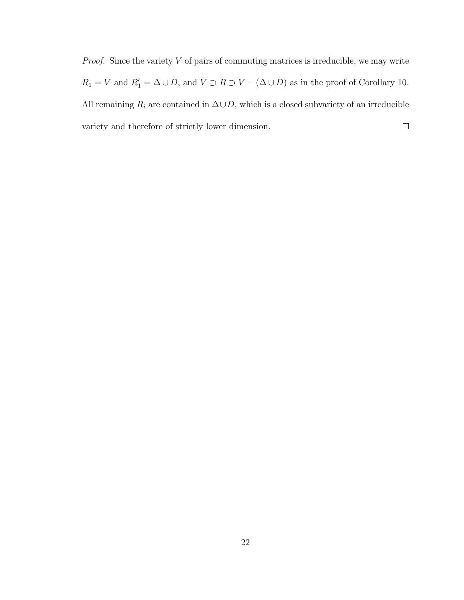*Proof.* Since the variety  $V$  of pairs of commuting matrices is irreducible, we may write  $R_1 = V$  and  $R'_1 = \Delta \cup D$ , and  $V \supset R \supset V - (\Delta \cup D)$  as in the proof of Corollary 10. All remaining  $R_i$  are contained in  $\Delta \cup D$ , which is a closed subvariety of an irreducible variety and therefore of strictly lower dimension.  $\Box$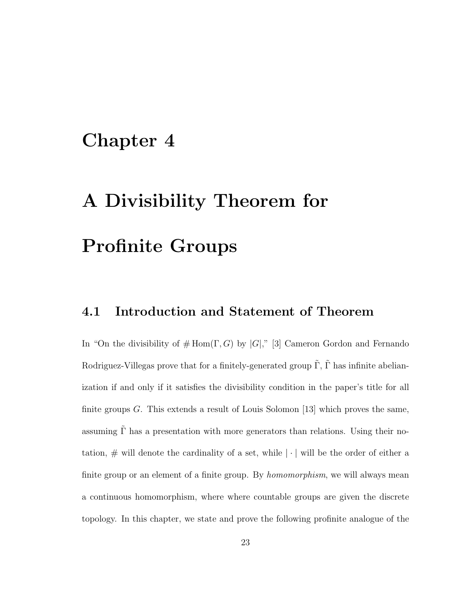### Chapter 4

# A Divisibility Theorem for Profinite Groups

#### 4.1 Introduction and Statement of Theorem

In "On the divisibility of  $\#\text{Hom}(\Gamma,G)$  by  $|G|$ ," [3] Cameron Gordon and Fernando Rodriguez-Villegas prove that for a finitely-generated group  $\tilde{\Gamma}$ ,  $\tilde{\Gamma}$  has infinite abelianization if and only if it satisfies the divisibility condition in the paper's title for all finite groups G. This extends a result of Louis Solomon [13] which proves the same, assuming  $\tilde{\Gamma}$  has a presentation with more generators than relations. Using their notation,  $\#$  will denote the cardinality of a set, while  $|\cdot|$  will be the order of either a finite group or an element of a finite group. By *homomorphism*, we will always mean a continuous homomorphism, where where countable groups are given the discrete topology. In this chapter, we state and prove the following profinite analogue of the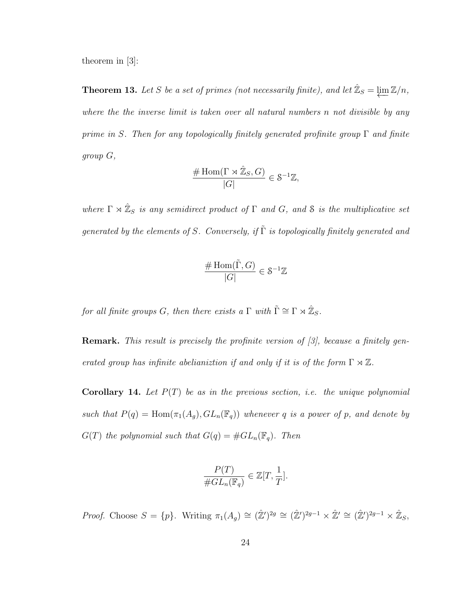theorem in [3]:

**Theorem 13.** Let S be a set of primes (not necessarily finite), and let  $\mathbb{Z}_S = \varprojlim \mathbb{Z}/n$ , where the the inverse limit is taken over all natural numbers n not divisible by any prime in S. Then for any topologically finitely generated profinite group  $\Gamma$  and finite group G,

$$
\frac{\# \operatorname{Hom}(\Gamma \rtimes \hat{\mathbb{Z}}_S, G)}{|G|} \in \mathcal{S}^{-1}\mathbb{Z},
$$

where  $\Gamma \rtimes \hat{\mathbb{Z}}_S$  is any semidirect product of  $\Gamma$  and  $G$ , and  $\mathcal S$  is the multiplicative set generated by the elements of S. Conversely, if  $\tilde{\Gamma}$  is topologically finitely generated and

$$
\frac{\# \operatorname{Hom}(\tilde{\Gamma}, G)}{|G|} \in \mathcal{S}^{-1}\mathbb{Z}
$$

for all finite groups G, then there exists a  $\Gamma$  with  $\tilde{\Gamma} \cong \Gamma \rtimes \hat{\mathbb{Z}}_S$ .

Remark. This result is precisely the profinite version of [3], because a finitely generated group has infinite abelianizion if and only if it is of the form  $\Gamma \rtimes \mathbb{Z}$ .

**Corollary 14.** Let  $P(T)$  be as in the previous section, i.e. the unique polynomial such that  $P(q) = \text{Hom}(\pi_1(A_g), GL_n(\mathbb{F}_q))$  whenever q is a power of p, and denote by  $G(T)$  the polynomial such that  $G(q) = #GL_n(\mathbb{F}_q)$ . Then

$$
\frac{P(T)}{\# GL_n(\mathbb{F}_q)} \in \mathbb{Z}[T, \frac{1}{T}].
$$

Proof. Choose  $S = \{p\}$ . Writing  $\pi_1(A_g) \cong (\hat{\mathbb{Z}}')^{2g} \cong (\hat{\mathbb{Z}}')^{2g-1} \times \hat{\mathbb{Z}}' \cong (\hat{\mathbb{Z}}')^{2g-1} \times \hat{\mathbb{Z}}_S$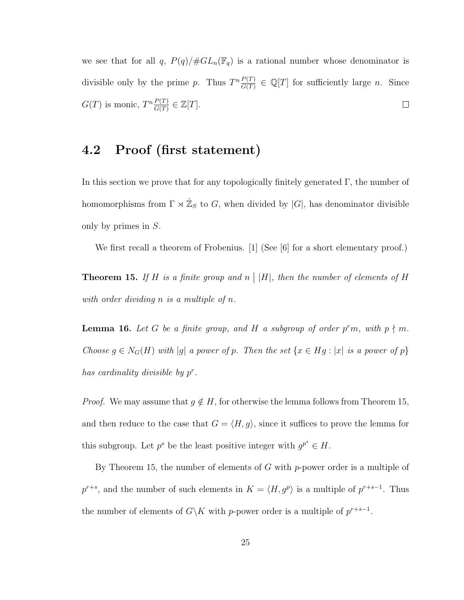we see that for all q,  $P(q)/\# GL_n(\mathbb{F}_q)$  is a rational number whose denominator is divisible only by the prime p. Thus  $T^n \frac{P(T)}{C(T)}$  $\frac{P(T)}{G(T)} \in \mathbb{Q}[T]$  for sufficiently large *n*. Since  $G(T)$  is monic,  $T^n \frac{P(T)}{G(T)}$  $\frac{P(T)}{G(T)} \in \mathbb{Z}[T].$  $\Box$ 

#### 4.2 Proof (first statement)

In this section we prove that for any topologically finitely generated Γ, the number of homomorphisms from  $\Gamma \rtimes \hat{\mathbb{Z}}_S$  to G, when divided by  $|G|$ , has denominator divisible only by primes in S.

We first recall a theorem of Frobenius. [1] (See [6] for a short elementary proof.)

**Theorem 15.** If H is a finite group and  $n \mid |H|$ , then the number of elements of H with order dividing n is a multiple of n.

**Lemma 16.** Let G be a finite group, and H a subgroup of order  $p^r m$ , with  $p \nmid m$ . Choose  $g \in N_G(H)$  with |g| a power of p. Then the set  $\{x \in Hg : |x|$  is a power of p} has cardinality divisible by  $p^r$ .

*Proof.* We may assume that  $g \notin H$ , for otherwise the lemma follows from Theorem 15, and then reduce to the case that  $G = \langle H, g \rangle$ , since it suffices to prove the lemma for this subgroup. Let  $p^s$  be the least positive integer with  $g^{p^s} \in H$ .

By Theorem 15, the number of elements of  $G$  with  $p$ -power order is a multiple of  $p^{r+s}$ , and the number of such elements in  $K = \langle H, g^p \rangle$  is a multiple of  $p^{r+s-1}$ . Thus the number of elements of  $G\backslash K$  with p-power order is a multiple of  $p^{r+s-1}$ .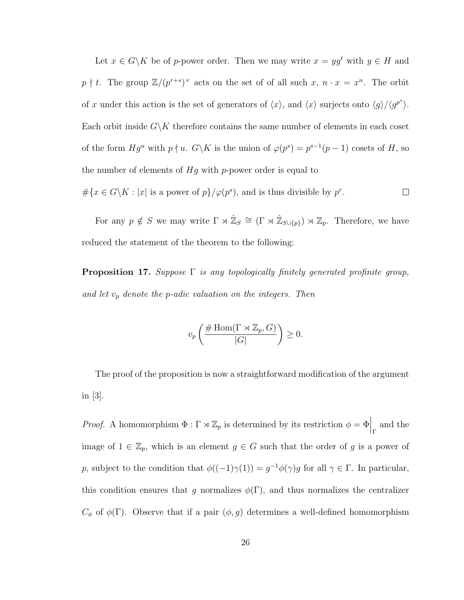Let  $x \in G\backslash K$  be of p-power order. Then we may write  $x = yg^t$  with  $y \in H$  and  $p \nmid t$ . The group  $\mathbb{Z}/(p^{r+s})^{\times}$  acts on the set of of all such  $x, n \cdot x = x^n$ . The orbit of x under this action is the set of generators of  $\langle x \rangle$ , and  $\langle x \rangle$  surjects onto  $\langle g \rangle / \langle g^{p^s} \rangle$ . Each orbit inside  $G\backslash K$  therefore contains the same number of elements in each coset of the form  $Hg^u$  with  $p \nmid u$ .  $G\backslash K$  is the union of  $\varphi(p^s) = p^{s-1}(p-1)$  cosets of H, so the number of elements of  $Hg$  with p-power order is equal to  $\#\{x \in G \backslash K : |x| \text{ is a power of } p\}/\varphi(p^s)$ , and is thus divisible by  $p^r$ .  $\Box$ 

For any  $p \notin S$  we may write  $\Gamma \rtimes \hat{\mathbb{Z}}_S \cong (\Gamma \rtimes \hat{\mathbb{Z}}_{S \cup \{p\}}) \rtimes \mathbb{Z}_p$ . Therefore, we have reduced the statement of the theorem to the following:

**Proposition 17.** Suppose  $\Gamma$  is any topologically finitely generated profinite group, and let  $v_p$  denote the p-adic valuation on the integers. Then

$$
v_p\left(\frac{\#\operatorname{Hom}(\Gamma\rtimes \mathbb{Z}_p,G)}{|G|}\right)\geq 0.
$$

The proof of the proposition is now a straightforward modification of the argument in [3].

*Proof.* A homomorphism  $\Phi : \Gamma \rtimes \mathbb{Z}_p$  is determined by its restriction  $\phi = \Phi \Big|_{\Gamma}$  and the image of  $1 \in \mathbb{Z}_p$ , which is an element  $g \in G$  such that the order of g is a power of p, subject to the condition that  $\phi((-1)\gamma(1)) = g^{-1}\phi(\gamma)g$  for all  $\gamma \in \Gamma$ . In particular, this condition ensures that g normalizes  $\phi(\Gamma)$ , and thus normalizes the centralizer  $C_{\phi}$  of  $\phi(\Gamma)$ . Observe that if a pair  $(\phi, g)$  determines a well-defined homomorphism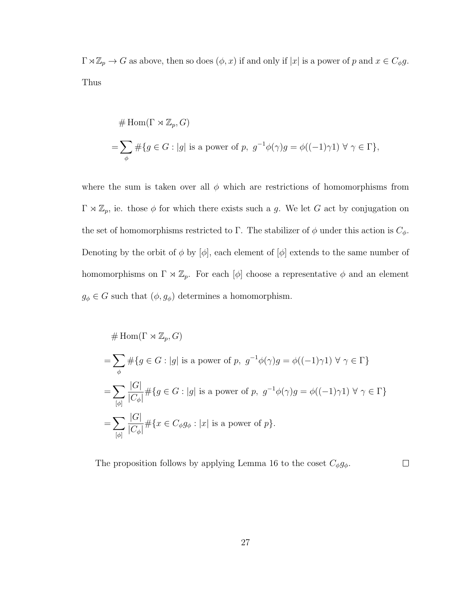$\Gamma \rtimes \mathbb{Z}_p \to G$  as above, then so does  $(\phi, x)$  if and only if  $|x|$  is a power of p and  $x \in C_{\phi}g$ . Thus

$$
# Hom(\Gamma \rtimes \mathbb{Z}_p, G)
$$
  
=  $\sum_{\phi} #\{g \in G : |g| \text{ is a power of } p, g^{-1}\phi(\gamma)g = \phi((-1)\gamma 1) \forall \gamma \in \Gamma\},\$ 

where the sum is taken over all  $\phi$  which are restrictions of homomorphisms from  $\Gamma \rtimes \mathbb{Z}_p$ , ie. those  $\phi$  for which there exists such a g. We let G act by conjugation on the set of homomorphisms restricted to Γ. The stabilizer of  $\phi$  under this action is  $C_{\phi}$ . Denoting by the orbit of  $\phi$  by  $[\phi]$ , each element of  $[\phi]$  extends to the same number of homomorphisms on  $\Gamma \rtimes \mathbb{Z}_p$ . For each  $[\phi]$  choose a representative  $\phi$  and an element  $g_\phi \in G$  such that  $(\phi, g_\phi)$  determines a homomorphism.

$$
\# \operatorname{Hom}(\Gamma \rtimes \mathbb{Z}_p, G)
$$
\n
$$
= \sum_{\phi} \# \{ g \in G : |g| \text{ is a power of } p, g^{-1}\phi(\gamma)g = \phi((-1)\gamma 1) \; \forall \; \gamma \in \Gamma \}
$$
\n
$$
= \sum_{[\phi]} \frac{|G|}{|C_{\phi}|} \# \{ g \in G : |g| \text{ is a power of } p, g^{-1}\phi(\gamma)g = \phi((-1)\gamma 1) \; \forall \; \gamma \in \Gamma \}
$$
\n
$$
= \sum_{[\phi]} \frac{|G|}{|C_{\phi}|} \# \{ x \in C_{\phi}g_{\phi} : |x| \text{ is a power of } p \}.
$$

The proposition follows by applying Lemma 16 to the coset  $C_{\phi}g_{\phi}$ .  $\Box$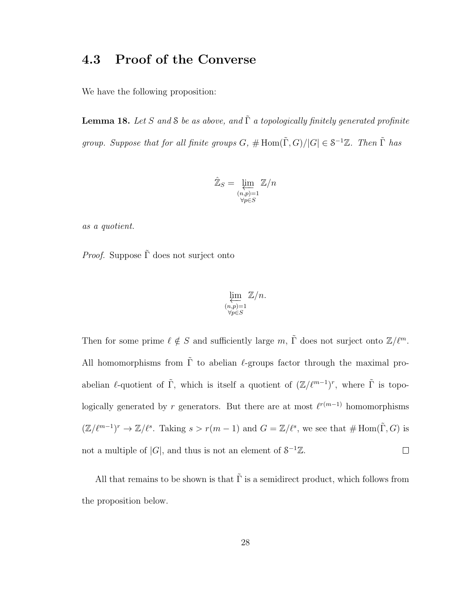#### 4.3 Proof of the Converse

We have the following proposition:

**Lemma 18.** Let S and S be as above, and  $\tilde{\Gamma}$  a topologically finitely generated profinite group. Suppose that for all finite groups  $G, \# \text{Hom}(\tilde{\Gamma}, G)/|G| \in S^{-1}\mathbb{Z}$ . Then  $\tilde{\Gamma}$  has

$$
\hat{\mathbb{Z}}_S = \varprojlim_{\substack{(n,p)=1\\ \forall p \in S}} \mathbb{Z}/n
$$

as a quotient.

*Proof.* Suppose  $\tilde{\Gamma}$  does not surject onto

$$
\varprojlim_{\substack{(n,p)=1\\ \forall p\in S}}\mathbb{Z}/n.
$$

Then for some prime  $\ell \notin S$  and sufficiently large m,  $\tilde{\Gamma}$  does not surject onto  $\mathbb{Z}/\ell^m$ . All homomorphisms from  $\tilde{\Gamma}$  to abelian  $\ell$ -groups factor through the maximal proabelian  $\ell$ -quotient of  $\tilde{\Gamma}$ , which is itself a quotient of  $(\mathbb{Z}/\ell^{m-1})^r$ , where  $\tilde{\Gamma}$  is topologically generated by r generators. But there are at most  $\ell^{r(m-1)}$  homomorphisms  $(\mathbb{Z}/\ell^{m-1})^r \to \mathbb{Z}/\ell^s$ . Taking  $s > r(m-1)$  and  $G = \mathbb{Z}/\ell^s$ , we see that  $\# \text{Hom}(\tilde{\Gamma}, G)$  is not a multiple of |G|, and thus is not an element of  $S^{-1}\mathbb{Z}$ .  $\Box$ 

All that remains to be shown is that  $\tilde{\Gamma}$  is a semidirect product, which follows from the proposition below.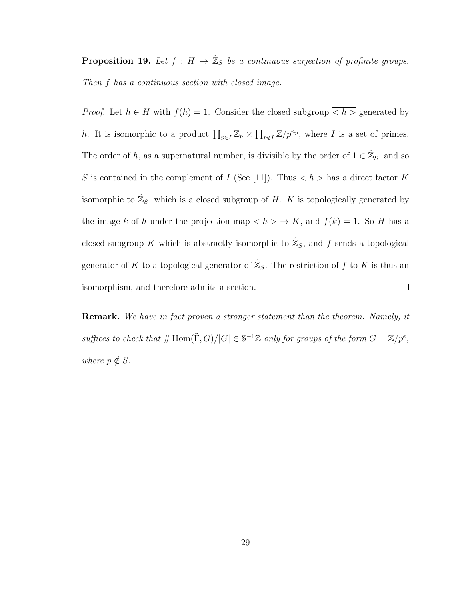**Proposition 19.** Let  $f : H \to \hat{\mathbb{Z}}_S$  be a continuous surjection of profinite groups. Then f has a continuous section with closed image.

*Proof.* Let  $h \in H$  with  $f(h) = 1$ . Consider the closed subgroup  $\overline{h} >$  generated by h. It is isomorphic to a product  $\prod_{p\in I} \mathbb{Z}_p \times \prod_{p\notin I} \mathbb{Z}/p^{n_p}$ , where I is a set of primes. The order of h, as a supernatural number, is divisible by the order of  $1 \in \hat{\mathbb{Z}}_S$ , and so S is contained in the complement of I (See [11]). Thus  $\overline{h} >$  has a direct factor K isomorphic to  $\hat{\mathbb{Z}}_S$ , which is a closed subgroup of H. K is topologically generated by the image k of h under the projection map  $\overline{h} > \overline{h} > K$ , and  $f(k) = 1$ . So H has a closed subgroup K which is abstractly isomorphic to  $\hat{\mathbb{Z}}_S$ , and f sends a topological generator of K to a topological generator of  $\mathbb{Z}_S$ . The restriction of f to K is thus an isomorphism, and therefore admits a section.  $\Box$ 

**Remark.** We have in fact proven a stronger statement than the theorem. Namely, it suffices to check that  $\#\text{Hom}(\tilde{\Gamma},G)/|G|\in S^{-1}\mathbb{Z}$  only for groups of the form  $G=\mathbb{Z}/p^e$ , where  $p \notin S$ .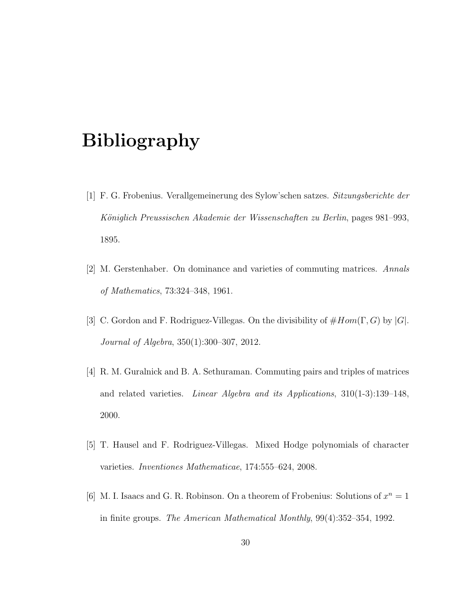## Bibliography

- [1] F. G. Frobenius. Verallgemeinerung des Sylow'schen satzes. Sitzungsberichte der Königlich Preussischen Akademie der Wissenschaften zu Berlin, pages 981–993, 1895.
- [2] M. Gerstenhaber. On dominance and varieties of commuting matrices. Annals of Mathematics, 73:324–348, 1961.
- [3] C. Gordon and F. Rodriguez-Villegas. On the divisibility of  $\#Hom(\Gamma, G)$  by  $|G|$ . Journal of Algebra, 350(1):300–307, 2012.
- [4] R. M. Guralnick and B. A. Sethuraman. Commuting pairs and triples of matrices and related varieties. Linear Algebra and its Applications, 310(1-3):139–148, 2000.
- [5] T. Hausel and F. Rodriguez-Villegas. Mixed Hodge polynomials of character varieties. Inventiones Mathematicae, 174:555–624, 2008.
- [6] M. I. Isaacs and G. R. Robinson. On a theorem of Frobenius: Solutions of  $x^n = 1$ in finite groups. The American Mathematical Monthly, 99(4):352–354, 1992.